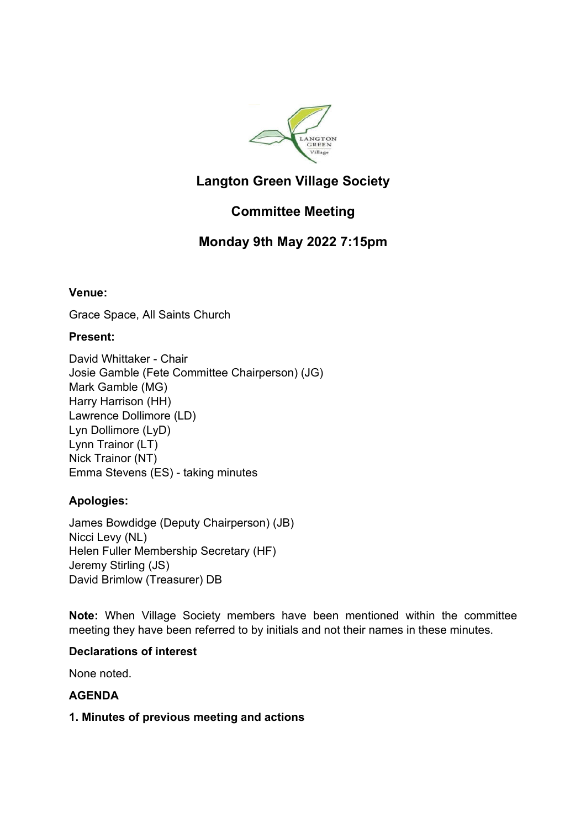

# **Langton Green Village Society**

# **Committee Meeting**

# **Monday 9th May 2022 7:15pm**

# **Venue:**

Grace Space, All Saints Church

# **Present:**

David Whittaker - Chair Josie Gamble (Fete Committee Chairperson) (JG) Mark Gamble (MG) Harry Harrison (HH) Lawrence Dollimore (LD) Lyn Dollimore (LyD) Lynn Trainor (LT) Nick Trainor (NT) Emma Stevens (ES) - taking minutes

# **Apologies:**

James Bowdidge (Deputy Chairperson) (JB) Nicci Levy (NL) Helen Fuller Membership Secretary (HF) Jeremy Stirling (JS) David Brimlow (Treasurer) DB

**Note:** When Village Society members have been mentioned within the committee meeting they have been referred to by initials and not their names in these minutes.

# **Declarations of interest**

None noted.

# **AGENDA**

# **1. Minutes of previous meeting and actions**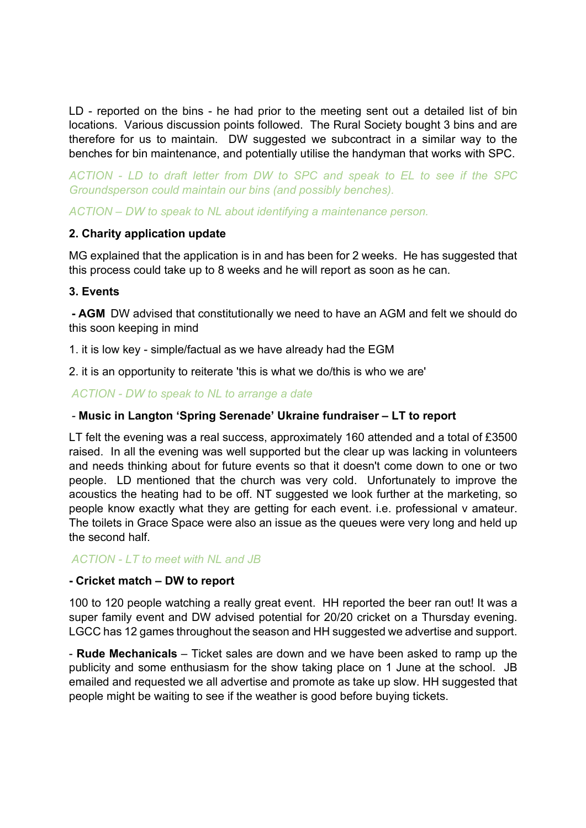LD - reported on the bins - he had prior to the meeting sent out a detailed list of bin locations. Various discussion points followed. The Rural Society bought 3 bins and are therefore for us to maintain. DW suggested we subcontract in a similar way to the benches for bin maintenance, and potentially utilise the handyman that works with SPC.

*ACTION - LD to draft letter from DW to SPC and speak to EL to see if the SPC Groundsperson could maintain our bins (and possibly benches).*

*ACTION – DW to speak to NL about identifying a maintenance person.*

## **2. Charity application update**

MG explained that the application is in and has been for 2 weeks. He has suggested that this process could take up to 8 weeks and he will report as soon as he can.

### **3. Events**

**- AGM** DW advised that constitutionally we need to have an AGM and felt we should do this soon keeping in mind

1. it is low key - simple/factual as we have already had the EGM

2. it is an opportunity to reiterate 'this is what we do/this is who we are'

*ACTION - DW to speak to NL to arrange a date*

## *-* **Music in Langton 'Spring Serenade' Ukraine fundraiser – LT to report**

LT felt the evening was a real success, approximately 160 attended and a total of £3500 raised. In all the evening was well supported but the clear up was lacking in volunteers and needs thinking about for future events so that it doesn't come down to one or two people. LD mentioned that the church was very cold. Unfortunately to improve the acoustics the heating had to be off. NT suggested we look further at the marketing, so people know exactly what they are getting for each event. i.e. professional v amateur. The toilets in Grace Space were also an issue as the queues were very long and held up the second half.

#### *ACTION - LT to meet with NL and JB*

#### **- Cricket match – DW to report**

100 to 120 people watching a really great event. HH reported the beer ran out! It was a super family event and DW advised potential for 20/20 cricket on a Thursday evening. LGCC has 12 games throughout the season and HH suggested we advertise and support.

- **Rude Mechanicals** – Ticket sales are down and we have been asked to ramp up the publicity and some enthusiasm for the show taking place on 1 June at the school. JB emailed and requested we all advertise and promote as take up slow. HH suggested that people might be waiting to see if the weather is good before buying tickets.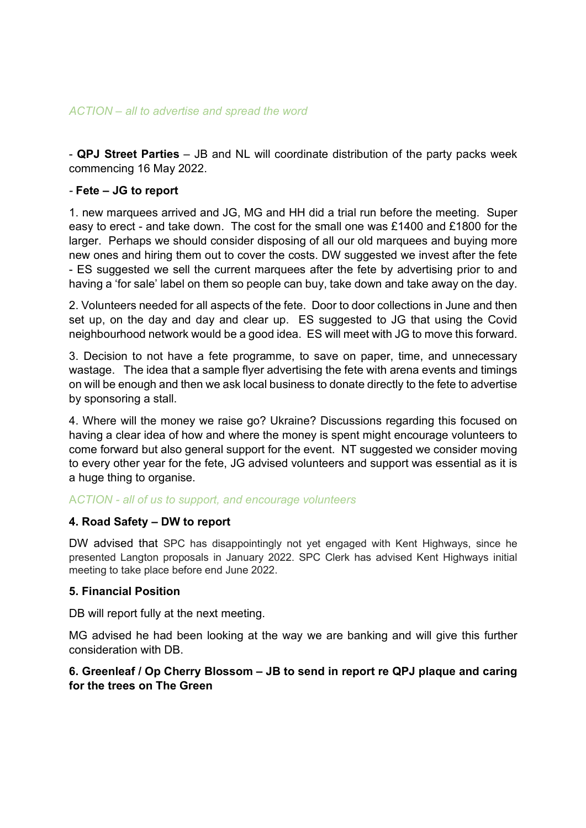- **QPJ Street Parties** – JB and NL will coordinate distribution of the party packs week commencing 16 May 2022.

## *-* **Fete – JG to report**

1. new marquees arrived and JG, MG and HH did a trial run before the meeting. Super easy to erect - and take down. The cost for the small one was £1400 and £1800 for the larger. Perhaps we should consider disposing of all our old marquees and buying more new ones and hiring them out to cover the costs. DW suggested we invest after the fete - ES suggested we sell the current marquees after the fete by advertising prior to and having a 'for sale' label on them so people can buy, take down and take away on the day.

2. Volunteers needed for all aspects of the fete. Door to door collections in June and then set up, on the day and day and clear up. ES suggested to JG that using the Covid neighbourhood network would be a good idea. ES will meet with JG to move this forward.

3. Decision to not have a fete programme, to save on paper, time, and unnecessary wastage. The idea that a sample flyer advertising the fete with arena events and timings on will be enough and then we ask local business to donate directly to the fete to advertise by sponsoring a stall.

4. Where will the money we raise go? Ukraine? Discussions regarding this focused on having a clear idea of how and where the money is spent might encourage volunteers to come forward but also general support for the event. NT suggested we consider moving to every other year for the fete, JG advised volunteers and support was essential as it is a huge thing to organise.

#### A*CTION - all of us to support, and encourage volunteers*

## **4. Road Safety – DW to report**

DW advised that SPC has disappointingly not yet engaged with Kent Highways, since he presented Langton proposals in January 2022. SPC Clerk has advised Kent Highways initial meeting to take place before end June 2022.

#### **5. Financial Position**

DB will report fully at the next meeting.

MG advised he had been looking at the way we are banking and will give this further consideration with DB.

## **6. Greenleaf / Op Cherry Blossom – JB to send in report re QPJ plaque and caring for the trees on The Green**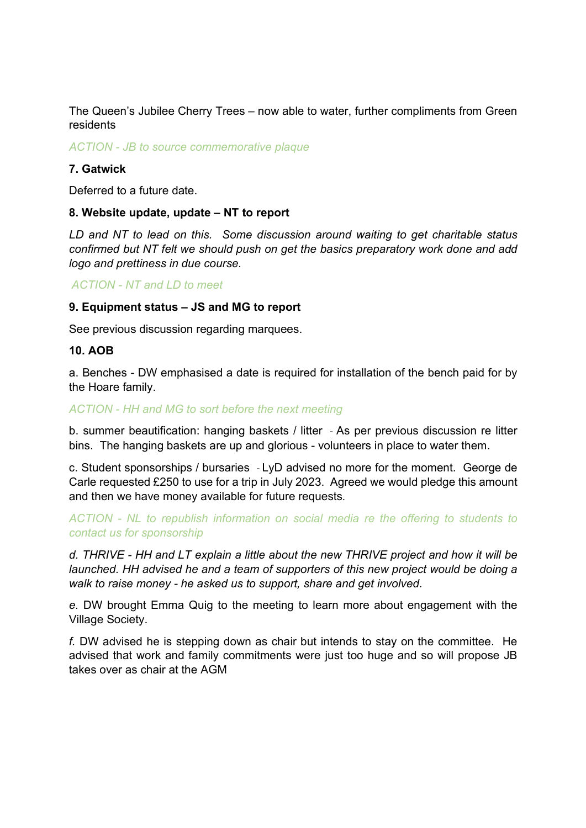The Queen's Jubilee Cherry Trees – now able to water, further compliments from Green residents

## *ACTION - JB to source commemorative plaque*

### **7. Gatwick**

Deferred to a future date.

### **8. Website update, update – NT to report**

*LD and NT to lead on this. Some discussion around waiting to get charitable status confirmed but NT felt we should push on get the basics preparatory work done and add logo and prettiness in due course.* 

#### *ACTION - NT and LD to meet*

### **9. Equipment status – JS and MG to report**

See previous discussion regarding marquees.

#### **10. AOB**

a. Benches - DW emphasised a date is required for installation of the bench paid for by the Hoare family.

#### *ACTION - HH and MG to sort before the next meeting*

b. summer beautification: hanging baskets / litter - As per previous discussion re litter bins. The hanging baskets are up and glorious - volunteers in place to water them.

c. Student sponsorships / bursaries - LyD advised no more for the moment. George de Carle requested £250 to use for a trip in July 2023. Agreed we would pledge this amount and then we have money available for future requests.

*ACTION - NL to republish information on social media re the offering to students to contact us for sponsorship* 

*d. THRIVE - HH and LT explain a little about the new THRIVE project and how it will be launched. HH advised he and a team of supporters of this new project would be doing a walk to raise money - he asked us to support, share and get involved.* 

*e.* DW brought Emma Quig to the meeting to learn more about engagement with the Village Society.

*f.* DW advised he is stepping down as chair but intends to stay on the committee. He advised that work and family commitments were just too huge and so will propose JB takes over as chair at the AGM